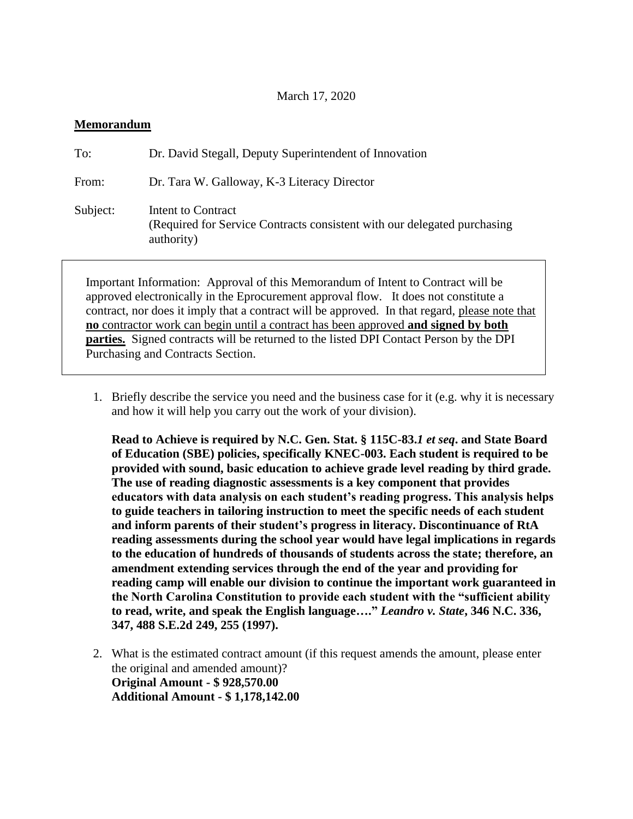## March 17, 2020

## **Memorandum**

| To:                                                                                                                                                                    | Dr. David Stegall, Deputy Superintendent of Innovation                                                       |
|------------------------------------------------------------------------------------------------------------------------------------------------------------------------|--------------------------------------------------------------------------------------------------------------|
| From:                                                                                                                                                                  | Dr. Tara W. Galloway, K-3 Literacy Director                                                                  |
| Subject:                                                                                                                                                               | Intent to Contract<br>(Required for Service Contracts consistent with our delegated purchasing<br>authority) |
| Important Information: Approval of this Memorandum of Intent to Contract will be<br>approved electronically in the Eprocurement approval flow It does not constitute a |                                                                                                              |

approved electronically in the Eprocurement approval flow. It does not constitute a contract, nor does it imply that a contract will be approved. In that regard, please note that **no** contractor work can begin until a contract has been approved **and signed by both parties.** Signed contracts will be returned to the listed DPI Contact Person by the DPI Purchasing and Contracts Section.

1. Briefly describe the service you need and the business case for it (e.g. why it is necessary and how it will help you carry out the work of your division).

**Read to Achieve is required by N.C. Gen. Stat. § 115C-83.***1 et seq***. and State Board of Education (SBE) policies, specifically KNEC-003. Each student is required to be provided with sound, basic education to achieve grade level reading by third grade. The use of reading diagnostic assessments is a key component that provides educators with data analysis on each student's reading progress. This analysis helps to guide teachers in tailoring instruction to meet the specific needs of each student and inform parents of their student's progress in literacy. Discontinuance of RtA reading assessments during the school year would have legal implications in regards to the education of hundreds of thousands of students across the state; therefore, an amendment extending services through the end of the year and providing for reading camp will enable our division to continue the important work guaranteed in the North Carolina Constitution to provide each student with the "sufficient ability to read, write, and speak the English language…."** *Leandro v. State***, 346 N.C. 336, 347, 488 S.E.2d 249, 255 (1997).**

2. What is the estimated contract amount (if this request amends the amount, please enter the original and amended amount)? **Original Amount - \$ 928,570.00 Additional Amount - \$ 1,178,142.00**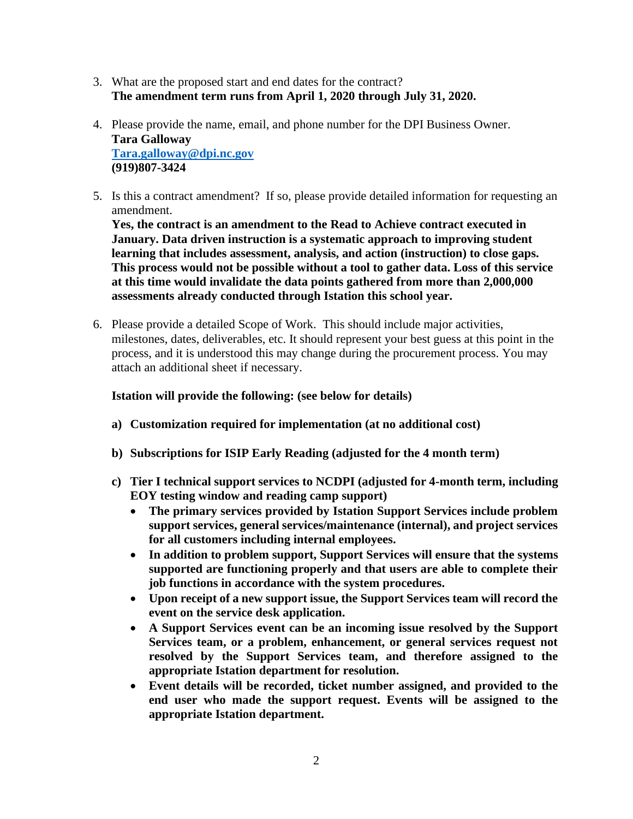- 3. What are the proposed start and end dates for the contract? **The amendment term runs from April 1, 2020 through July 31, 2020.**
- 4. Please provide the name, email, and phone number for the DPI Business Owner. **Tara Galloway [Tara.galloway@dpi.nc.gov](mailto:Tara.galloway@dpi.nc.gov) (919)807-3424**
- 5. Is this a contract amendment? If so, please provide detailed information for requesting an amendment.

**Yes, the contract is an amendment to the Read to Achieve contract executed in January. Data driven instruction is a systematic approach to improving student learning that includes assessment, analysis, and action (instruction) to close gaps. This process would not be possible without a tool to gather data. Loss of this service at this time would invalidate the data points gathered from more than 2,000,000 assessments already conducted through Istation this school year.** 

6. Please provide a detailed Scope of Work. This should include major activities, milestones, dates, deliverables, etc. It should represent your best guess at this point in the process, and it is understood this may change during the procurement process. You may attach an additional sheet if necessary.

## **Istation will provide the following: (see below for details)**

- **a) Customization required for implementation (at no additional cost)**
- **b) Subscriptions for ISIP Early Reading (adjusted for the 4 month term)**
- **c) Tier I technical support services to NCDPI (adjusted for 4-month term, including EOY testing window and reading camp support)**
	- **The primary services provided by Istation Support Services include problem support services, general services/maintenance (internal), and project services for all customers including internal employees.**
	- **In addition to problem support, Support Services will ensure that the systems supported are functioning properly and that users are able to complete their job functions in accordance with the system procedures.**
	- **Upon receipt of a new support issue, the Support Services team will record the event on the service desk application.**
	- **A Support Services event can be an incoming issue resolved by the Support Services team, or a problem, enhancement, or general services request not resolved by the Support Services team, and therefore assigned to the appropriate Istation department for resolution.**
	- **Event details will be recorded, ticket number assigned, and provided to the end user who made the support request. Events will be assigned to the appropriate Istation department.**